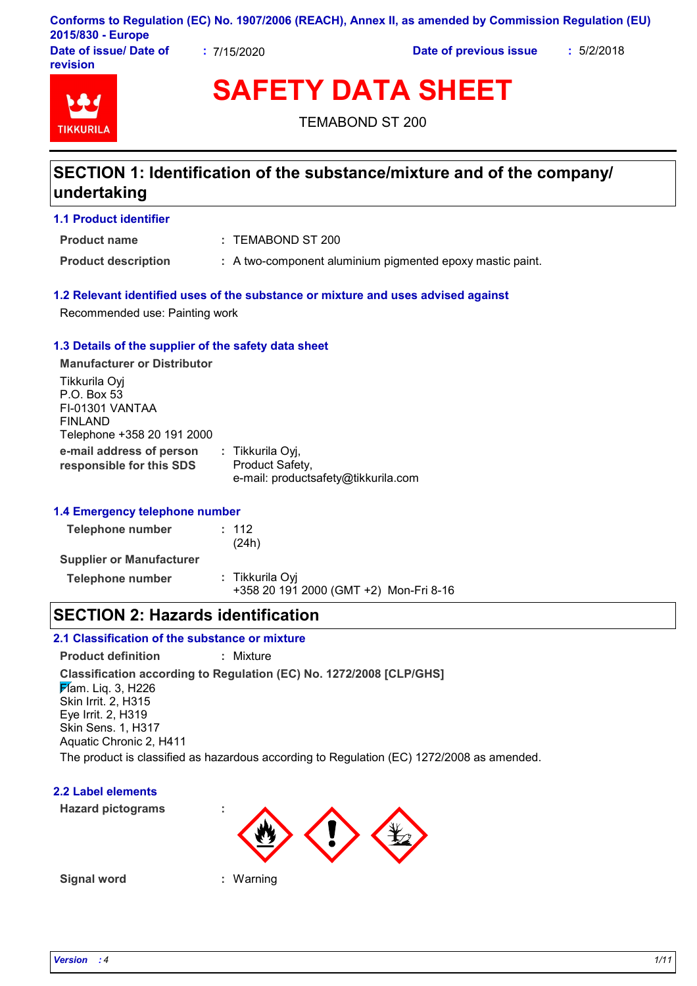|                        |             | Conforms to Regulation (EC) No. 1907/2006 (REACH), Annex II, as amended by Commission Regulation (EU) |            |
|------------------------|-------------|-------------------------------------------------------------------------------------------------------|------------|
| 2015/830 - Europe      |             |                                                                                                       |            |
| Date of issue/ Date of | : 7/15/2020 | Date of previous issue                                                                                | : 5/2/2018 |

TIKKIIRI

**revision**

**SAFETY DATA SHEET**

TEMABOND ST 200

## **SECTION 1: Identification of the substance/mixture and of the company/ undertaking**

TEMABOND ST 200 **: Product name**

**Product description :** A two-component aluminium pigmented epoxy mastic paint.

## **1.2 Relevant identified uses of the substance or mixture and uses advised against**

Recommended use: Painting work

## **1.3 Details of the supplier of the safety data sheet**

**e-mail address of person responsible for this SDS :** Tikkurila Oyj, Product Safety, e-mail: productsafety@tikkurila.com **Manufacturer or Distributor** Tikkurila Oyj P.O. Box 53 FI-01301 VANTAA FINLAND Telephone +358 20 191 2000

## **1.4 Emergency telephone number**

**Telephone number :** 112 (24h) **Supplier or Manufacturer Telephone number :** Tikkurila Oyj +358 20 191 2000 (GMT +2) Mon-Fri 8-16

## **SECTION 2: Hazards identification**

## **2.1 Classification of the substance or mixture**

**Classification according to Regulation (EC) No. 1272/2008 [CLP/GHS] Product definition :** Mixture  $\cancel{F}$ am. Liq. 3, H226 Skin Irrit. 2, H315 Eye Irrit. 2, H319 Skin Sens. 1, H317 Aquatic Chronic 2, H411 The product is classified as hazardous according to Regulation (EC) 1272/2008 as amended.

## **2.2 Label elements**

**Hazard pictograms :**



**Signal word :** Warning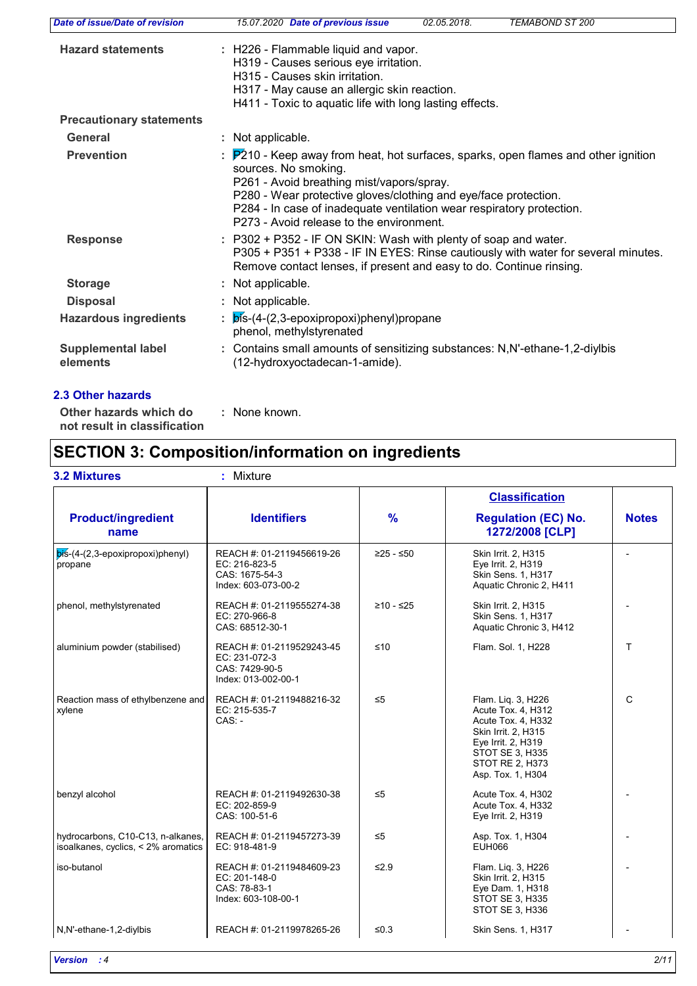| Date of issue/Date of revision        | TEMABOND ST 200<br>15.07.2020 Date of previous issue<br>02.05.2018.                                                                                                                                                                                                                                                                                         |
|---------------------------------------|-------------------------------------------------------------------------------------------------------------------------------------------------------------------------------------------------------------------------------------------------------------------------------------------------------------------------------------------------------------|
| <b>Hazard statements</b>              | : H226 - Flammable liquid and vapor.<br>H319 - Causes serious eye irritation.<br>H315 - Causes skin irritation.<br>H317 - May cause an allergic skin reaction.<br>H411 - Toxic to aquatic life with long lasting effects.                                                                                                                                   |
| <b>Precautionary statements</b>       |                                                                                                                                                                                                                                                                                                                                                             |
| <b>General</b>                        | : Not applicable.                                                                                                                                                                                                                                                                                                                                           |
| <b>Prevention</b>                     | $\frac{1}{2}$ P210 - Keep away from heat, hot surfaces, sparks, open flames and other ignition<br>sources. No smoking.<br>P261 - Avoid breathing mist/vapors/spray.<br>P280 - Wear protective gloves/clothing and eye/face protection.<br>P284 - In case of inadequate ventilation wear respiratory protection.<br>P273 - Avoid release to the environment. |
| <b>Response</b>                       | : P302 + P352 - IF ON SKIN: Wash with plenty of soap and water.<br>P305 + P351 + P338 - IF IN EYES: Rinse cautiously with water for several minutes.<br>Remove contact lenses, if present and easy to do. Continue rinsing.                                                                                                                                 |
| <b>Storage</b>                        | : Not applicable.                                                                                                                                                                                                                                                                                                                                           |
| <b>Disposal</b>                       | : Not applicable.                                                                                                                                                                                                                                                                                                                                           |
| <b>Hazardous ingredients</b>          | $:$ $\mathsf{b}$ is-(4-(2,3-epoxipropoxi)phenyl)propane<br>phenol, methylstyrenated                                                                                                                                                                                                                                                                         |
| <b>Supplemental label</b><br>elements | : Contains small amounts of sensitizing substances: N,N'-ethane-1,2-diylbis<br>(12-hydroxyoctadecan-1-amide).                                                                                                                                                                                                                                               |

**Other hazards which do : not result in classification** : None known.

# **SECTION 3: Composition/information on ingredients**

## **3.2 Mixtures :** Mixture

|                                                                          |                                                                                     |               | <b>Classification</b>                                                                                                                                                         |              |
|--------------------------------------------------------------------------|-------------------------------------------------------------------------------------|---------------|-------------------------------------------------------------------------------------------------------------------------------------------------------------------------------|--------------|
| <b>Product/ingredient</b><br>name                                        | <b>Identifiers</b>                                                                  | $\frac{9}{6}$ | <b>Regulation (EC) No.</b><br>1272/2008 [CLP]                                                                                                                                 | <b>Notes</b> |
| $\overline{pis}$ -(4-(2,3-epoxipropoxi)phenyl)<br>propane                | REACH #: 01-2119456619-26<br>EC: 216-823-5<br>CAS: 1675-54-3<br>Index: 603-073-00-2 | $≥25 - ≤50$   | Skin Irrit. 2, H315<br>Eye Irrit. 2, H319<br>Skin Sens. 1, H317<br>Aquatic Chronic 2, H411                                                                                    |              |
| phenol, methylstyrenated                                                 | REACH #: 01-2119555274-38<br>EC: 270-966-8<br>CAS: 68512-30-1                       | $≥10 - ≤25$   | Skin Irrit. 2, H315<br><b>Skin Sens. 1. H317</b><br>Aquatic Chronic 3, H412                                                                                                   |              |
| aluminium powder (stabilised)                                            | REACH #: 01-2119529243-45<br>EC: 231-072-3<br>CAS: 7429-90-5<br>Index: 013-002-00-1 | ≤10           | Flam. Sol. 1, H228                                                                                                                                                            | T.           |
| Reaction mass of ethylbenzene and<br>xylene                              | REACH #: 01-2119488216-32<br>EC: 215-535-7<br>$CAS: -$                              | $\leq 5$      | Flam. Lig. 3, H226<br>Acute Tox. 4, H312<br>Acute Tox. 4, H332<br>Skin Irrit. 2, H315<br>Eye Irrit. 2, H319<br><b>STOT SE 3, H335</b><br>STOT RE 2, H373<br>Asp. Tox. 1, H304 | $\mathsf{C}$ |
| benzyl alcohol                                                           | REACH #: 01-2119492630-38<br>EC: 202-859-9<br>CAS: 100-51-6                         | $\leq 5$      | Acute Tox. 4, H302<br>Acute Tox. 4, H332<br>Eye Irrit. 2, H319                                                                                                                |              |
| hydrocarbons, C10-C13, n-alkanes,<br>isoalkanes, cyclics, < 2% aromatics | REACH #: 01-2119457273-39<br>EC: 918-481-9                                          | $\leq 5$      | Asp. Tox. 1, H304<br><b>EUH066</b>                                                                                                                                            |              |
| iso-butanol                                                              | REACH #: 01-2119484609-23<br>EC: 201-148-0<br>CAS: 78-83-1<br>Index: 603-108-00-1   | $\leq 2.9$    | Flam. Lig. 3, H226<br>Skin Irrit. 2, H315<br>Eye Dam. 1, H318<br><b>STOT SE 3, H335</b><br>STOT SE 3, H336                                                                    |              |
| N,N'-ethane-1,2-diylbis                                                  | REACH #: 01-2119978265-26                                                           | ≤ $0.3$       | Skin Sens. 1, H317                                                                                                                                                            |              |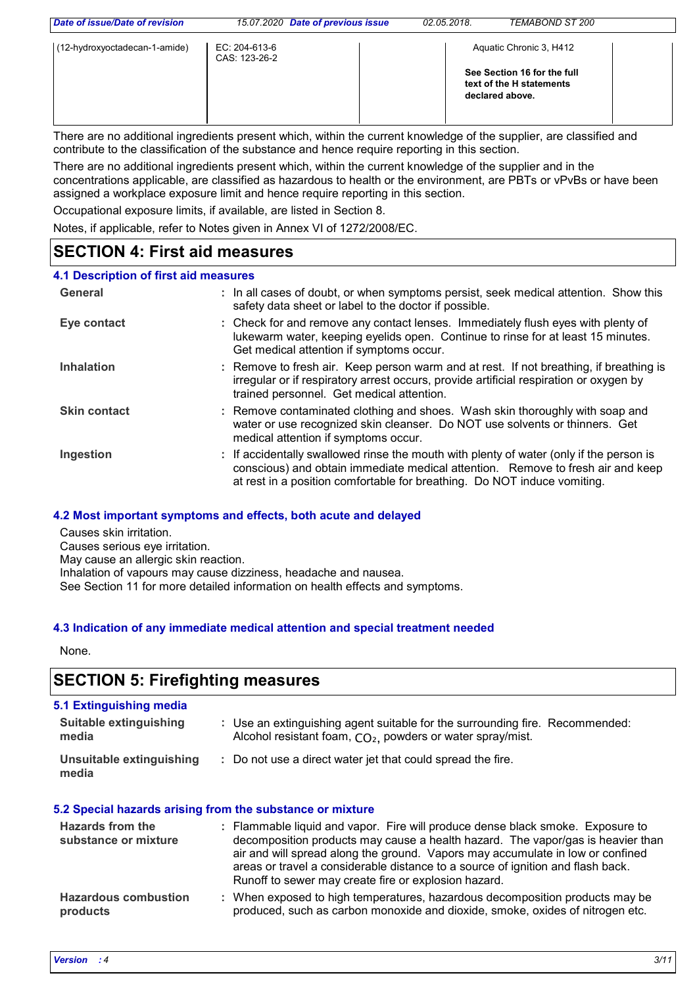| Date of issue/Date of revision | 15.07.2020 Date of previous issue | 02.05.2018 | TEMABOND ST 200                                                                                       |  |
|--------------------------------|-----------------------------------|------------|-------------------------------------------------------------------------------------------------------|--|
| (12-hydroxyoctadecan-1-amide)  | EC: 204-613-6<br>CAS: 123-26-2    |            | Aquatic Chronic 3, H412<br>See Section 16 for the full<br>text of the H statements<br>declared above. |  |

There are no additional ingredients present which, within the current knowledge of the supplier, are classified and contribute to the classification of the substance and hence require reporting in this section.

There are no additional ingredients present which, within the current knowledge of the supplier and in the concentrations applicable, are classified as hazardous to health or the environment, are PBTs or vPvBs or have been assigned a workplace exposure limit and hence require reporting in this section.

Occupational exposure limits, if available, are listed in Section 8.

Notes, if applicable, refer to Notes given in Annex VI of 1272/2008/EC.

## **SECTION 4: First aid measures**

## **4.1 Description of first aid measures**

| General             | : In all cases of doubt, or when symptoms persist, seek medical attention. Show this<br>safety data sheet or label to the doctor if possible.                                                                                                          |
|---------------------|--------------------------------------------------------------------------------------------------------------------------------------------------------------------------------------------------------------------------------------------------------|
| Eye contact         | : Check for and remove any contact lenses. Immediately flush eyes with plenty of<br>lukewarm water, keeping eyelids open. Continue to rinse for at least 15 minutes.<br>Get medical attention if symptoms occur.                                       |
| <b>Inhalation</b>   | : Remove to fresh air. Keep person warm and at rest. If not breathing, if breathing is<br>irregular or if respiratory arrest occurs, provide artificial respiration or oxygen by<br>trained personnel. Get medical attention.                          |
| <b>Skin contact</b> | : Remove contaminated clothing and shoes. Wash skin thoroughly with soap and<br>water or use recognized skin cleanser. Do NOT use solvents or thinners. Get<br>medical attention if symptoms occur.                                                    |
| Ingestion           | : If accidentally swallowed rinse the mouth with plenty of water (only if the person is<br>conscious) and obtain immediate medical attention. Remove to fresh air and keep<br>at rest in a position comfortable for breathing. Do NOT induce vomiting. |

## **4.2 Most important symptoms and effects, both acute and delayed**

Causes skin irritation.

Causes serious eye irritation.

May cause an allergic skin reaction.

Inhalation of vapours may cause dizziness, headache and nausea.

See Section 11 for more detailed information on health effects and symptoms.

## **4.3 Indication of any immediate medical attention and special treatment needed**

None.

## **SECTION 5: Firefighting measures**

## **5.1 Extinguishing media**

| Suitable extinguishing<br>media   | : Use an extinguishing agent suitable for the surrounding fire. Recommended:<br>Alcohol resistant foam, $CO2$ , powders or water spray/mist. |
|-----------------------------------|----------------------------------------------------------------------------------------------------------------------------------------------|
| Unsuitable extinguishing<br>media | : Do not use a direct water jet that could spread the fire.                                                                                  |

## **5.2 Special hazards arising from the substance or mixture**

| <b>Hazards from the</b><br>substance or mixture | : Flammable liquid and vapor. Fire will produce dense black smoke. Exposure to<br>decomposition products may cause a health hazard. The vapor/gas is heavier than<br>air and will spread along the ground. Vapors may accumulate in low or confined<br>areas or travel a considerable distance to a source of ignition and flash back.<br>Runoff to sewer may create fire or explosion hazard. |
|-------------------------------------------------|------------------------------------------------------------------------------------------------------------------------------------------------------------------------------------------------------------------------------------------------------------------------------------------------------------------------------------------------------------------------------------------------|
| <b>Hazardous combustion</b><br>products         | : When exposed to high temperatures, hazardous decomposition products may be<br>produced, such as carbon monoxide and dioxide, smoke, oxides of nitrogen etc.                                                                                                                                                                                                                                  |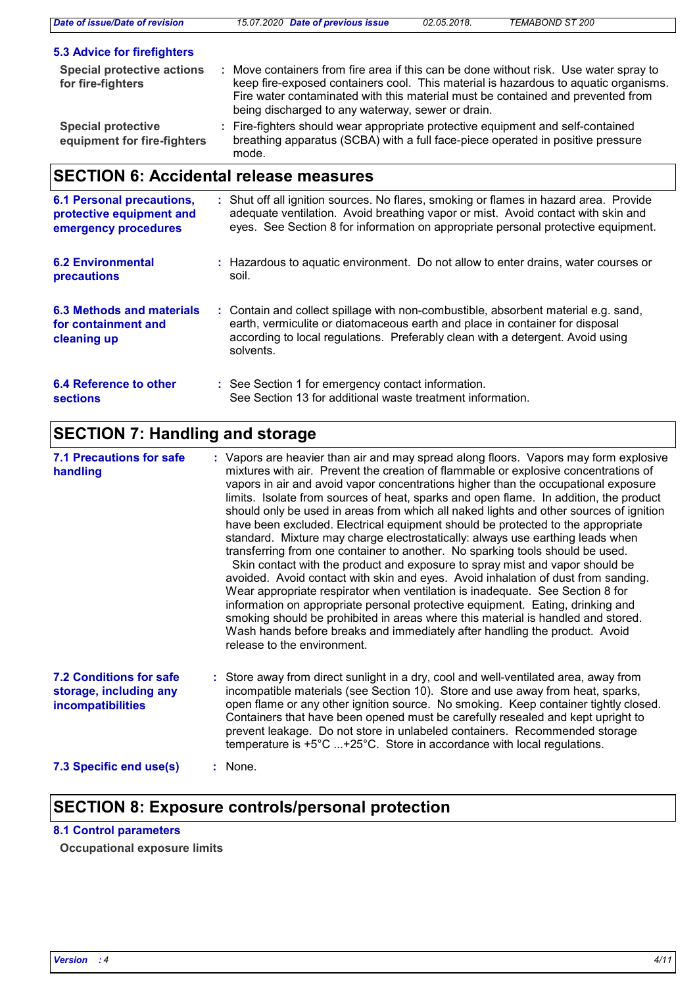| <b>Date of issue/Date of revision</b>                                                | 15.07.2020 Date of previous issue                                                                                                                                                                                                                                 | 02.05.2018. | TEMABOND ST 200                                                                     |
|--------------------------------------------------------------------------------------|-------------------------------------------------------------------------------------------------------------------------------------------------------------------------------------------------------------------------------------------------------------------|-------------|-------------------------------------------------------------------------------------|
| <b>5.3 Advice for firefighters</b>                                                   |                                                                                                                                                                                                                                                                   |             |                                                                                     |
| <b>Special protective actions</b><br>for fire-fighters                               | : Move containers from fire area if this can be done without risk. Use water spray to<br>Fire water contaminated with this material must be contained and prevented from<br>being discharged to any waterway, sewer or drain.                                     |             | keep fire-exposed containers cool. This material is hazardous to aquatic organisms. |
| <b>Special protective</b><br>equipment for fire-fighters                             | : Fire-fighters should wear appropriate protective equipment and self-contained<br>breathing apparatus (SCBA) with a full face-piece operated in positive pressure<br>mode.                                                                                       |             |                                                                                     |
| <b>SECTION 6: Accidental release measures</b>                                        |                                                                                                                                                                                                                                                                   |             |                                                                                     |
| <b>6.1 Personal precautions,</b><br>protective equipment and<br>emergency procedures | : Shut off all ignition sources. No flares, smoking or flames in hazard area. Provide<br>adequate ventilation. Avoid breathing vapor or mist. Avoid contact with skin and<br>eyes. See Section 8 for information on appropriate personal protective equipment.    |             |                                                                                     |
| <b>6.2 Environmental</b><br>precautions                                              | : Hazardous to aguatic environment. Do not allow to enter drains, water courses or<br>soil.                                                                                                                                                                       |             |                                                                                     |
| 6.3 Methods and materials<br>for containment and<br>cleaning up                      | : Contain and collect spillage with non-combustible, absorbent material e.g. sand,<br>earth, vermiculite or diatomaceous earth and place in container for disposal<br>according to local regulations. Preferably clean with a detergent. Avoid using<br>solvents. |             |                                                                                     |
| 6.4 Reference to other<br><b>sections</b>                                            | : See Section 1 for emergency contact information.<br>See Section 13 for additional waste treatment information.                                                                                                                                                  |             |                                                                                     |

# **SECTION 7: Handling and storage**

| <b>7.1 Precautions for safe</b><br>handling                                   | : Vapors are heavier than air and may spread along floors. Vapors may form explosive<br>mixtures with air. Prevent the creation of flammable or explosive concentrations of<br>vapors in air and avoid vapor concentrations higher than the occupational exposure<br>limits. Isolate from sources of heat, sparks and open flame. In addition, the product<br>should only be used in areas from which all naked lights and other sources of ignition<br>have been excluded. Electrical equipment should be protected to the appropriate<br>standard. Mixture may charge electrostatically: always use earthing leads when<br>transferring from one container to another. No sparking tools should be used.<br>Skin contact with the product and exposure to spray mist and vapor should be<br>avoided. Avoid contact with skin and eyes. Avoid inhalation of dust from sanding.<br>Wear appropriate respirator when ventilation is inadequate. See Section 8 for<br>information on appropriate personal protective equipment. Eating, drinking and<br>smoking should be prohibited in areas where this material is handled and stored.<br>Wash hands before breaks and immediately after handling the product. Avoid<br>release to the environment. |
|-------------------------------------------------------------------------------|-----------------------------------------------------------------------------------------------------------------------------------------------------------------------------------------------------------------------------------------------------------------------------------------------------------------------------------------------------------------------------------------------------------------------------------------------------------------------------------------------------------------------------------------------------------------------------------------------------------------------------------------------------------------------------------------------------------------------------------------------------------------------------------------------------------------------------------------------------------------------------------------------------------------------------------------------------------------------------------------------------------------------------------------------------------------------------------------------------------------------------------------------------------------------------------------------------------------------------------------------------|
| <b>7.2 Conditions for safe</b><br>storage, including any<br>incompatibilities | : Store away from direct sunlight in a dry, cool and well-ventilated area, away from<br>incompatible materials (see Section 10). Store and use away from heat, sparks,<br>open flame or any other ignition source. No smoking. Keep container tightly closed.<br>Containers that have been opened must be carefully resealed and kept upright to<br>prevent leakage. Do not store in unlabeled containers. Recommended storage<br>temperature is $+5^{\circ}$ C +25°C. Store in accordance with local regulations.                                                                                                                                                                                                                                                                                                                                                                                                                                                                                                                                                                                                                                                                                                                                  |
| 7.3 Specific end use(s)                                                       | : None.                                                                                                                                                                                                                                                                                                                                                                                                                                                                                                                                                                                                                                                                                                                                                                                                                                                                                                                                                                                                                                                                                                                                                                                                                                             |

## **SECTION 8: Exposure controls/personal protection**

## **8.1 Control parameters**

**Occupational exposure limits**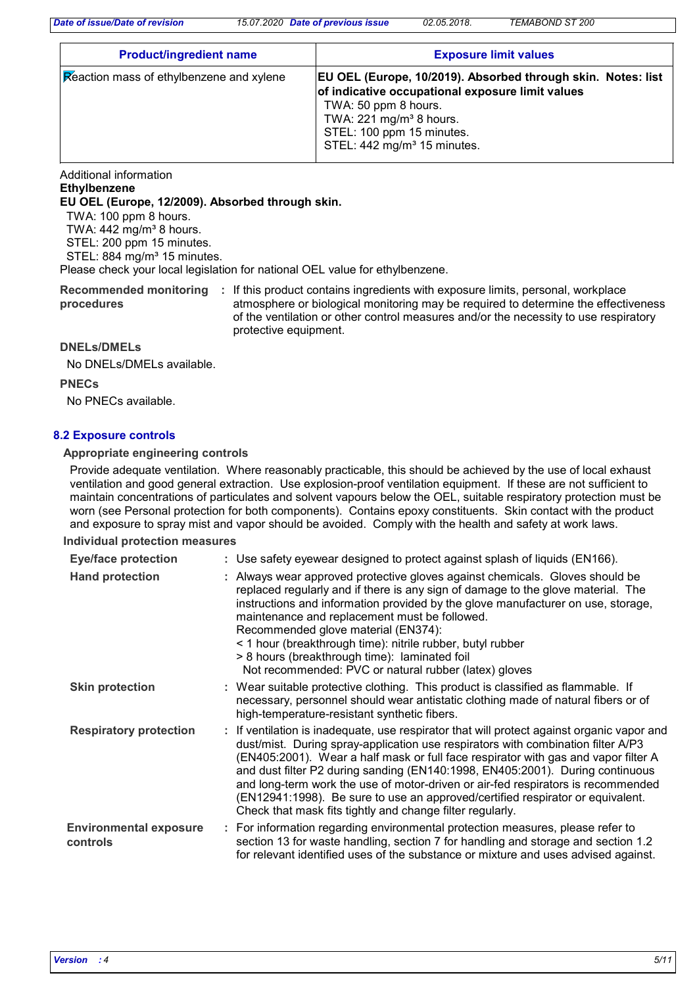*Date of issue/Date of revision 15.07.2020 Date of previous issue 02.05.2018. TEMABOND ST 200*

| <b>Product/ingredient name</b>                        | <b>Exposure limit values</b>                                                                                                                                                                                                                            |  |  |
|-------------------------------------------------------|---------------------------------------------------------------------------------------------------------------------------------------------------------------------------------------------------------------------------------------------------------|--|--|
| $\mathcal{R}$ eaction mass of ethylbenzene and xylene | EU OEL (Europe, 10/2019). Absorbed through skin. Notes: list<br>of indicative occupational exposure limit values<br>TWA: 50 ppm 8 hours.<br>TWA: 221 mg/m <sup>3</sup> 8 hours.<br>STEL: 100 ppm 15 minutes.<br>STEL: 442 mg/m <sup>3</sup> 15 minutes. |  |  |

Additional information

## **Ethylbenzene**

**EU OEL (Europe, 12/2009). Absorbed through skin.**

TWA: 100 ppm 8 hours.

TWA:  $442$  mg/m<sup>3</sup> 8 hours.

STEL: 200 ppm 15 minutes.

STEL: 884 mg/m<sup>3</sup> 15 minutes.

Please check your local legislation for national OEL value for ethylbenzene.

Recommended monitoring : If this product contains ingredients with exposure limits, personal, workplace **procedures** atmosphere or biological monitoring may be required to determine the effectiveness of the ventilation or other control measures and/or the necessity to use respiratory protective equipment.

### **DNELs/DMELs**

No DNELs/DMELs available.

**PNECs**

No PNECs available.

## **8.2 Exposure controls**

#### **Appropriate engineering controls**

Provide adequate ventilation. Where reasonably practicable, this should be achieved by the use of local exhaust ventilation and good general extraction. Use explosion-proof ventilation equipment. If these are not sufficient to maintain concentrations of particulates and solvent vapours below the OEL, suitable respiratory protection must be worn (see Personal protection for both components). Contains epoxy constituents. Skin contact with the product and exposure to spray mist and vapor should be avoided. Comply with the health and safety at work laws.

#### **Individual protection measures**

| <b>Eye/face protection</b>                | : Use safety eyewear designed to protect against splash of liquids (EN166).                                                                                                                                                                                                                                                                                                                                                                                                                                                                                                              |
|-------------------------------------------|------------------------------------------------------------------------------------------------------------------------------------------------------------------------------------------------------------------------------------------------------------------------------------------------------------------------------------------------------------------------------------------------------------------------------------------------------------------------------------------------------------------------------------------------------------------------------------------|
| <b>Hand protection</b>                    | : Always wear approved protective gloves against chemicals. Gloves should be<br>replaced regularly and if there is any sign of damage to the glove material. The<br>instructions and information provided by the glove manufacturer on use, storage,<br>maintenance and replacement must be followed.<br>Recommended glove material (EN374):<br>< 1 hour (breakthrough time): nitrile rubber, butyl rubber<br>> 8 hours (breakthrough time): laminated foil<br>Not recommended: PVC or natural rubber (latex) gloves                                                                     |
| <b>Skin protection</b>                    | : Wear suitable protective clothing. This product is classified as flammable. If<br>necessary, personnel should wear antistatic clothing made of natural fibers or of<br>high-temperature-resistant synthetic fibers.                                                                                                                                                                                                                                                                                                                                                                    |
| <b>Respiratory protection</b>             | : If ventilation is inadequate, use respirator that will protect against organic vapor and<br>dust/mist. During spray-application use respirators with combination filter A/P3<br>(EN405:2001). Wear a half mask or full face respirator with gas and vapor filter A<br>and dust filter P2 during sanding (EN140:1998, EN405:2001). During continuous<br>and long-term work the use of motor-driven or air-fed respirators is recommended<br>(EN12941:1998). Be sure to use an approved/certified respirator or equivalent.<br>Check that mask fits tightly and change filter regularly. |
| <b>Environmental exposure</b><br>controls | : For information regarding environmental protection measures, please refer to<br>section 13 for waste handling, section 7 for handling and storage and section 1.2<br>for relevant identified uses of the substance or mixture and uses advised against.                                                                                                                                                                                                                                                                                                                                |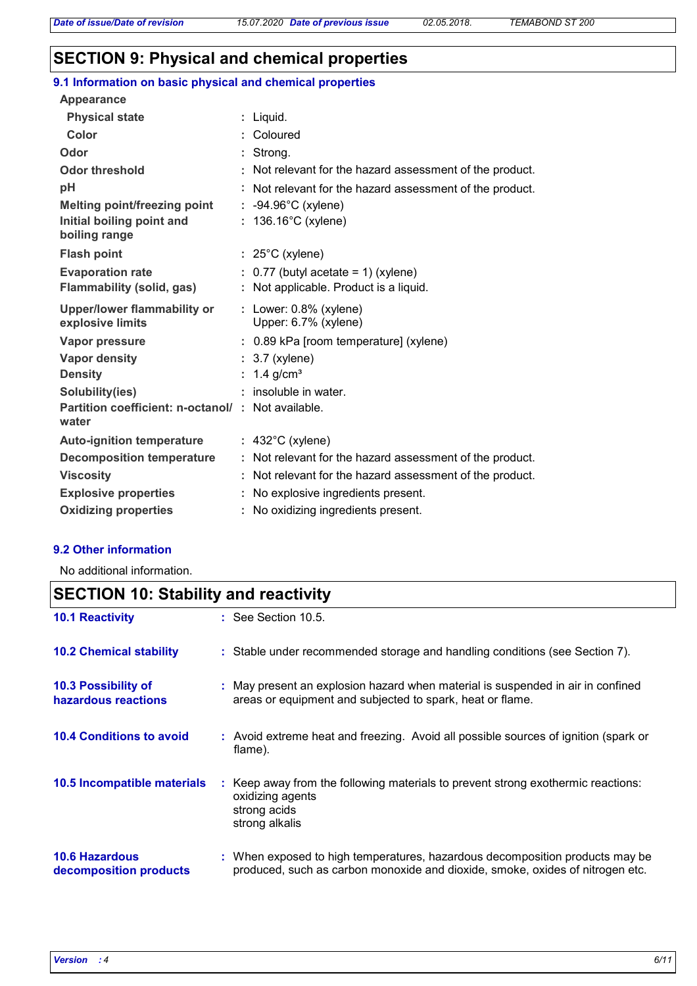## **SECTION 9: Physical and chemical properties**

| 9.1 Information on basic physical and chemical properties  |                                                          |
|------------------------------------------------------------|----------------------------------------------------------|
| Appearance                                                 |                                                          |
| <b>Physical state</b>                                      | : Liquid.                                                |
| Color                                                      | : Coloured                                               |
| Odor                                                       | : Strong.                                                |
| <b>Odor threshold</b>                                      | : Not relevant for the hazard assessment of the product. |
| pH                                                         | : Not relevant for the hazard assessment of the product. |
| Melting point/freezing point                               | $: -94.96^{\circ}$ C (xylene)                            |
| Initial boiling point and<br>boiling range                 | $: 136.16^{\circ}$ C (xylene)                            |
| <b>Flash point</b>                                         | $: 25^{\circ}$ C (xylene)                                |
| <b>Evaporation rate</b>                                    | $: 0.77$ (butyl acetate = 1) (xylene)                    |
| Flammability (solid, gas)                                  | : Not applicable. Product is a liquid.                   |
|                                                            |                                                          |
| Upper/lower flammability or<br>explosive limits            | : Lower: $0.8\%$ (xylene)<br>Upper: 6.7% (xylene)        |
| Vapor pressure                                             | : 0.89 kPa [room temperature] (xylene)                   |
| <b>Vapor density</b>                                       | $: 3.7$ (xylene)                                         |
| <b>Density</b>                                             | : $1.4$ g/cm <sup>3</sup>                                |
| Solubility(ies)                                            | : insoluble in water.                                    |
| Partition coefficient: n-octanol/: Not available.<br>water |                                                          |
| <b>Auto-ignition temperature</b>                           | $: 432^{\circ}$ C (xylene)                               |
| <b>Decomposition temperature</b>                           | : Not relevant for the hazard assessment of the product. |
| <b>Viscosity</b>                                           | : Not relevant for the hazard assessment of the product. |
| <b>Explosive properties</b>                                | : No explosive ingredients present.                      |

## **9.2 Other information**

No additional information.

## **10.6 Hazardous decomposition products 10.4 Conditions to avoid** : Avoid extreme heat and freezing. Avoid all possible sources of ignition (spark or flame). When exposed to high temperatures, hazardous decomposition products may be **:** produced, such as carbon monoxide and dioxide, smoke, oxides of nitrogen etc. **10.2 Chemical stability** : Stable under recommended storage and handling conditions (see Section 7). : Keep away from the following materials to prevent strong exothermic reactions: oxidizing agents strong acids strong alkalis **10.5 Incompatible materials : 10.3 Possibility of hazardous reactions :** May present an explosion hazard when material is suspended in air in confined areas or equipment and subjected to spark, heat or flame. **SECTION 10: Stability and reactivity 10.1 Reactivity :** See Section 10.5.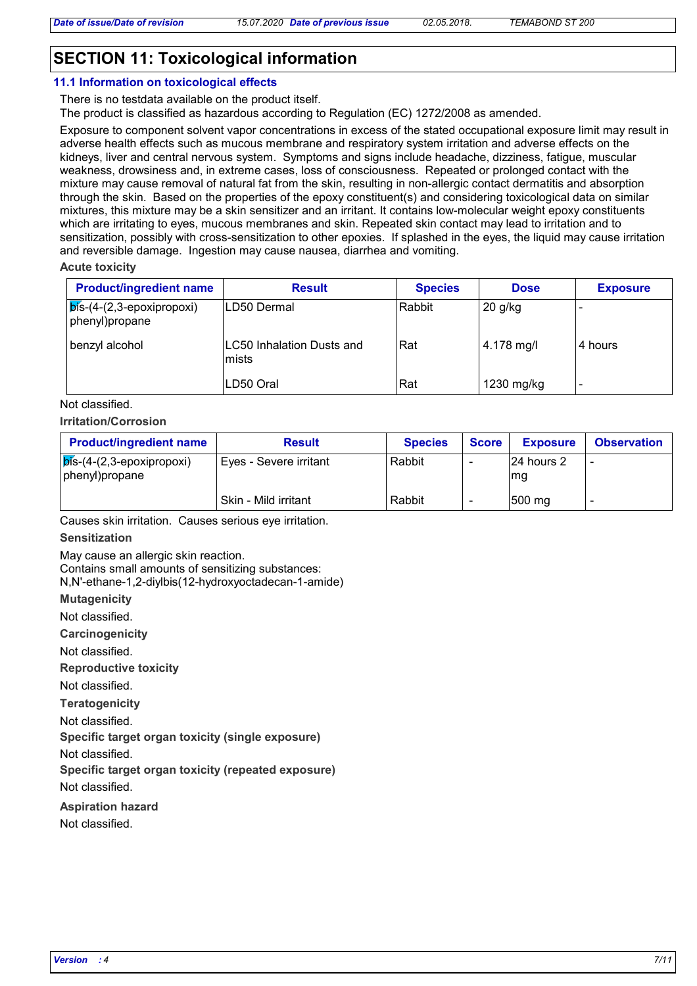## **SECTION 11: Toxicological information**

#### **11.1 Information on toxicological effects**

There is no testdata available on the product itself. The product is classified as hazardous according to Regulation (EC) 1272/2008 as amended.

Exposure to component solvent vapor concentrations in excess of the stated occupational exposure limit may result in adverse health effects such as mucous membrane and respiratory system irritation and adverse effects on the kidneys, liver and central nervous system. Symptoms and signs include headache, dizziness, fatigue, muscular weakness, drowsiness and, in extreme cases, loss of consciousness. Repeated or prolonged contact with the mixture may cause removal of natural fat from the skin, resulting in non-allergic contact dermatitis and absorption through the skin. Based on the properties of the epoxy constituent(s) and considering toxicological data on similar mixtures, this mixture may be a skin sensitizer and an irritant. It contains low-molecular weight epoxy constituents which are irritating to eyes, mucous membranes and skin. Repeated skin contact may lead to irritation and to sensitization, possibly with cross-sensitization to other epoxies. If splashed in the eyes, the liquid may cause irritation and reversible damage. Ingestion may cause nausea, diarrhea and vomiting.

**Acute toxicity**

| <b>Product/ingredient name</b>                         | <b>Result</b>                             | <b>Species</b> | <b>Dose</b>            | <b>Exposure</b> |
|--------------------------------------------------------|-------------------------------------------|----------------|------------------------|-----------------|
| $\sqrt{p}$ ís-(4-(2,3-epoxipropoxi)<br>phenyl) propane | LD50 Dermal                               | Rabbit         | $20$ g/kg              |                 |
| benzyl alcohol                                         | <b>LC50 Inhalation Dusts and</b><br>mists | Rat            | $ 4.178 \text{ mg}/I $ | l 4 hours       |
|                                                        | LD50 Oral                                 | Rat            | 1230 mg/kg             |                 |

Not classified.

#### **Irritation/Corrosion**

| <b>Product/ingredient name</b>                                     | <b>Result</b>          | <b>Species</b> | <b>Score</b> | <b>Exposure</b>    | <b>Observation</b> |
|--------------------------------------------------------------------|------------------------|----------------|--------------|--------------------|--------------------|
| $\overline{\mathsf{b}}$ is-(4-(2,3-epoxipropoxi)<br>phenyl)propane | Eyes - Severe irritant | Rabbit         |              | 124 hours 2<br>lmg |                    |
|                                                                    | Skin - Mild irritant   | Rabbit         |              | 500 mg             |                    |

Causes skin irritation. Causes serious eye irritation.

#### **Sensitization**

May cause an allergic skin reaction. Contains small amounts of sensitizing substances: N,N'-ethane-1,2-diylbis(12-hydroxyoctadecan-1-amide)

**Mutagenicity**

Not classified.

**Carcinogenicity**

Not classified.

**Reproductive toxicity**

Not classified.

**Teratogenicity**

Not classified.

**Specific target organ toxicity (single exposure)**

Not classified.

**Specific target organ toxicity (repeated exposure)**

Not classified.

**Aspiration hazard**

Not classified.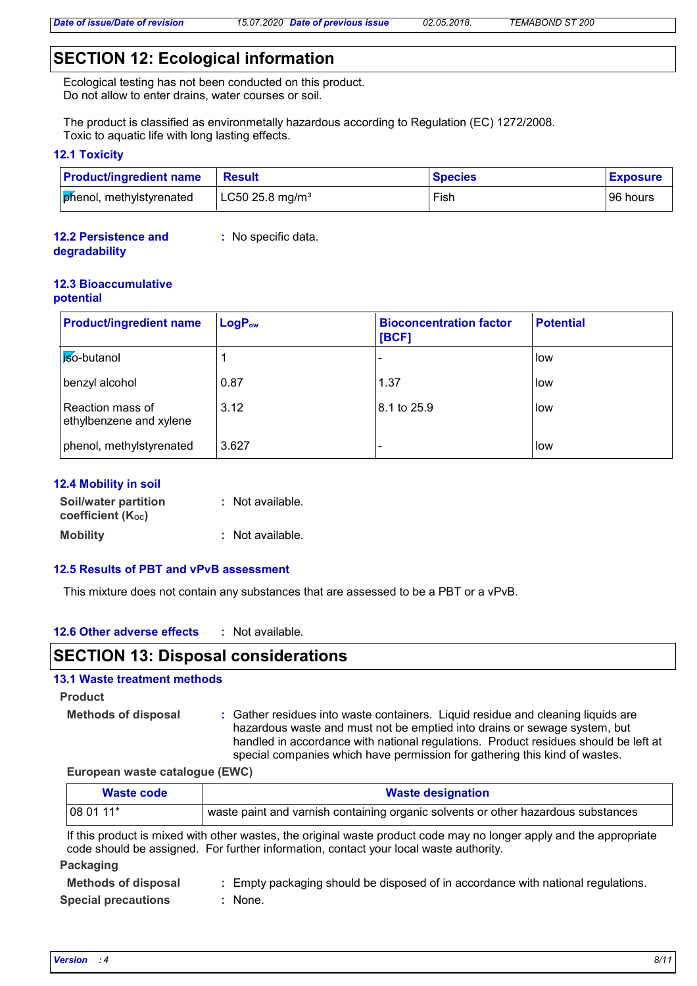## **SECTION 12: Ecological information**

Ecological testing has not been conducted on this product. Do not allow to enter drains, water courses or soil.

The product is classified as environmetally hazardous according to Regulation (EC) 1272/2008. Toxic to aquatic life with long lasting effects.

### **12.1 Toxicity**

| <b>Product/ingredient name</b> | <b>Result</b>                     | <b>Species</b> | <b>Exposure</b> |
|--------------------------------|-----------------------------------|----------------|-----------------|
| phenol, methylstyrenated       | $\mu$ LC50 25.8 mg/m <sup>3</sup> | Fish           | 96 hours        |

#### **12.2 Persistence and degradability :** No specific data.

#### **12.3 Bioaccumulative potential**

| <b>Product/ingredient name</b>              | $LogP_{ow}$ | <b>Bioconcentration factor</b><br>[BCF] | <b>Potential</b> |
|---------------------------------------------|-------------|-----------------------------------------|------------------|
| <b>iso-butanol</b>                          |             |                                         | low              |
| benzyl alcohol                              | 0.87        | 1.37                                    | <b>low</b>       |
| Reaction mass of<br>ethylbenzene and xylene | 3.12        | 8.1 to 25.9                             | low              |
| phenol, methylstyrenated                    | 3.627       |                                         | <b>I</b> low     |

## **12.4 Mobility in soil**

| <b>Soil/water partition</b> | : Not available. |
|-----------------------------|------------------|
| coefficient (Koc)           |                  |
| <b>Mobility</b>             | : Not available. |

### **12.5 Results of PBT and vPvB assessment**

This mixture does not contain any substances that are assessed to be a PBT or a vPvB.

#### **12.6 Other adverse effects :**

## **SECTION 13: Disposal considerations**

: None.

#### **13.1 Waste treatment methods**

**Product**

**Methods of disposal :**

Gather residues into waste containers. Liquid residue and cleaning liquids are hazardous waste and must not be emptied into drains or sewage system, but handled in accordance with national regulations. Product residues should be left at special companies which have permission for gathering this kind of wastes.

#### **European waste catalogue (EWC)**

| Waste code                 | <b>Waste designation</b>                                                                                                                                                                                     |
|----------------------------|--------------------------------------------------------------------------------------------------------------------------------------------------------------------------------------------------------------|
| 08 01 11*                  | waste paint and varnish containing organic solvents or other hazardous substances                                                                                                                            |
|                            | If this product is mixed with other wastes, the original waste product code may no longer apply and the appropriate<br>code should be assigned. For further information, contact your local waste authority. |
| Packaging                  |                                                                                                                                                                                                              |
| <b>Methods of disposal</b> | Empty packaging should be disposed of in accordance with national regulations.                                                                                                                               |

**Special precautions :**

*Version : 4 8/11*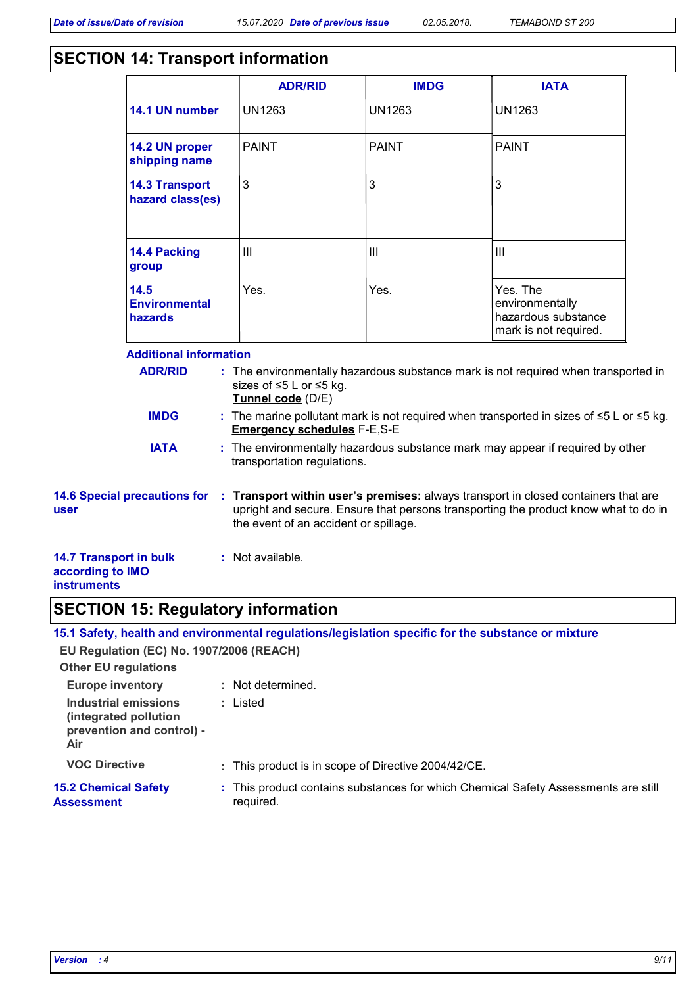## **SECTION 14: Transport information**

|                                                                         |                                           | <b>ADR/RID</b>                               | <b>IMDG</b>   | <b>IATA</b>                                                                                                                                                               |  |
|-------------------------------------------------------------------------|-------------------------------------------|----------------------------------------------|---------------|---------------------------------------------------------------------------------------------------------------------------------------------------------------------------|--|
|                                                                         | 14.1 UN number                            | <b>UN1263</b>                                | <b>UN1263</b> | <b>UN1263</b>                                                                                                                                                             |  |
|                                                                         | 14.2 UN proper<br>shipping name           | <b>PAINT</b>                                 | <b>PAINT</b>  | <b>PAINT</b>                                                                                                                                                              |  |
|                                                                         | <b>14.3 Transport</b><br>hazard class(es) | 3                                            | 3             | 3                                                                                                                                                                         |  |
|                                                                         | 14.4 Packing<br>group                     | III                                          | III           | III                                                                                                                                                                       |  |
|                                                                         | 14.5<br><b>Environmental</b><br>hazards   | Yes.                                         | Yes.          | Yes. The<br>environmentally<br>hazardous substance<br>mark is not required.                                                                                               |  |
|                                                                         | <b>Additional information</b>             |                                              |               |                                                                                                                                                                           |  |
|                                                                         | <b>ADR/RID</b>                            | sizes of ≤5 L or ≤5 kg.<br>Tunnel code (D/E) |               | : The environmentally hazardous substance mark is not required when transported in                                                                                        |  |
|                                                                         | <b>IMDG</b>                               | <b>Emergency schedules F-E,S-E</b>           |               | : The marine pollutant mark is not required when transported in sizes of $\leq 5$ L or $\leq 5$ kg.                                                                       |  |
|                                                                         | <b>IATA</b>                               | transportation regulations.                  |               | : The environmentally hazardous substance mark may appear if required by other                                                                                            |  |
| user                                                                    | <b>14.6 Special precautions for</b>       | the event of an accident or spillage.        |               | : Transport within user's premises: always transport in closed containers that are<br>upright and secure. Ensure that persons transporting the product know what to do in |  |
| <b>14.7 Transport in bulk</b><br>according to IMO<br><b>instruments</b> |                                           | : Not available.                             |               |                                                                                                                                                                           |  |

## **SECTION 15: Regulatory information**

|                                                                                   | 15.1 Safety, health and environmental regulations/legislation specific for the substance or mixture |
|-----------------------------------------------------------------------------------|-----------------------------------------------------------------------------------------------------|
| EU Regulation (EC) No. 1907/2006 (REACH)                                          |                                                                                                     |
| <b>Other EU regulations</b>                                                       |                                                                                                     |
| <b>Europe inventory</b>                                                           | : Not determined.                                                                                   |
| Industrial emissions<br>(integrated pollution<br>prevention and control) -<br>Air | : Listed                                                                                            |
| <b>VOC Directive</b>                                                              | : This product is in scope of Directive 2004/42/CE.                                                 |
| <b>15.2 Chemical Safety</b><br><b>Assessment</b>                                  | : This product contains substances for which Chemical Safety Assessments are still<br>required.     |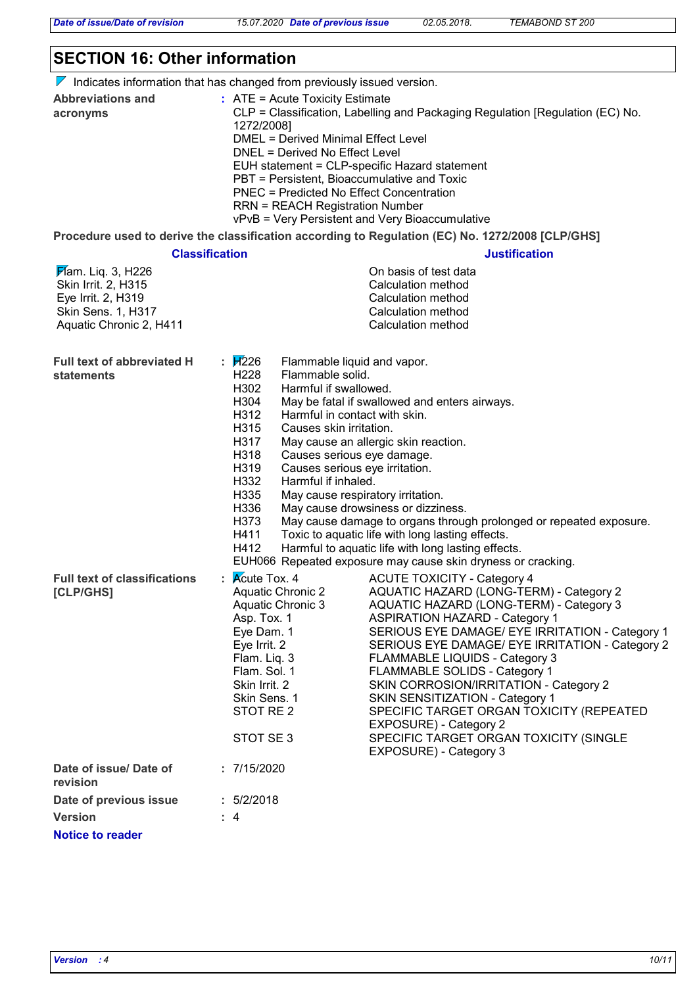*Date of issue/Date of revision 15.07.2020 Date of previous issue 02.05.2018. TEMABOND ST 200*

## **SECTION 16: Other information**

 $\nabla$  Indicates information that has changed from previously issued version.

| <b>Abbreviations and</b> | $\therefore$ ATE = Acute Toxicity Estimate                                    |
|--------------------------|-------------------------------------------------------------------------------|
| acronyms                 | CLP = Classification, Labelling and Packaging Regulation [Regulation (EC) No. |
|                          | 1272/2008]                                                                    |
|                          | DMEL = Derived Minimal Effect Level                                           |
|                          | DNEL = Derived No Effect Level                                                |
|                          | EUH statement = CLP-specific Hazard statement                                 |
|                          | PBT = Persistent, Bioaccumulative and Toxic                                   |
|                          | PNEC = Predicted No Effect Concentration                                      |
|                          | <b>RRN = REACH Registration Number</b>                                        |
|                          | vPvB = Very Persistent and Very Bioaccumulative                               |

**Procedure used to derive the classification according to Regulation (EC) No. 1272/2008 [CLP/GHS]**

|                                                                                                                  |                                                                                                                                                                                                                                                                                                                                                                   | Procedure used to derive the classification according to Regulation (EC) No. 1272/2008 [CLP/GHS]                                                                                                                                                                                                                                                                                                                                                                                                                                                                  |
|------------------------------------------------------------------------------------------------------------------|-------------------------------------------------------------------------------------------------------------------------------------------------------------------------------------------------------------------------------------------------------------------------------------------------------------------------------------------------------------------|-------------------------------------------------------------------------------------------------------------------------------------------------------------------------------------------------------------------------------------------------------------------------------------------------------------------------------------------------------------------------------------------------------------------------------------------------------------------------------------------------------------------------------------------------------------------|
| <b>Classification</b>                                                                                            |                                                                                                                                                                                                                                                                                                                                                                   | <b>Justification</b>                                                                                                                                                                                                                                                                                                                                                                                                                                                                                                                                              |
| Flam. Liq. 3, H226<br>Skin Irrit. 2, H315<br>Eye Irrit. 2, H319<br>Skin Sens. 1, H317<br>Aquatic Chronic 2, H411 |                                                                                                                                                                                                                                                                                                                                                                   | On basis of test data<br>Calculation method<br>Calculation method<br>Calculation method<br>Calculation method                                                                                                                                                                                                                                                                                                                                                                                                                                                     |
| <b>Full text of abbreviated H</b><br><b>statements</b>                                                           | : $\cancel{17}226$<br>Flammable liquid and vapor.<br>H228<br>Flammable solid.<br>H302<br>Harmful if swallowed.<br>H304<br>H312<br>Harmful in contact with skin.<br>H315<br>Causes skin irritation.<br>H317<br>H318<br>Causes serious eye damage.<br>H319<br>Causes serious eye irritation.<br>H332<br>Harmful if inhaled.<br>H335<br>H336<br>H373<br>H411<br>H412 | May be fatal if swallowed and enters airways.<br>May cause an allergic skin reaction.<br>May cause respiratory irritation.<br>May cause drowsiness or dizziness.<br>May cause damage to organs through prolonged or repeated exposure.<br>Toxic to aquatic life with long lasting effects.<br>Harmful to aquatic life with long lasting effects.<br>EUH066 Repeated exposure may cause skin dryness or cracking.                                                                                                                                                  |
| <b>Full text of classifications</b><br>[CLP/GHS]                                                                 | $\mathsf{R}$ Mcute Tox. 4<br><b>Aquatic Chronic 2</b><br>Aquatic Chronic 3<br>Asp. Tox. 1<br>Eye Dam. 1<br>Eye Irrit. 2<br>Flam. Liq. 3<br>Flam. Sol. 1<br>Skin Irrit. 2<br>Skin Sens. 1<br>STOT RE 2<br>STOT SE 3                                                                                                                                                | <b>ACUTE TOXICITY - Category 4</b><br>AQUATIC HAZARD (LONG-TERM) - Category 2<br>AQUATIC HAZARD (LONG-TERM) - Category 3<br><b>ASPIRATION HAZARD - Category 1</b><br>SERIOUS EYE DAMAGE/ EYE IRRITATION - Category 1<br>SERIOUS EYE DAMAGE/ EYE IRRITATION - Category 2<br>FLAMMABLE LIQUIDS - Category 3<br>FLAMMABLE SOLIDS - Category 1<br>SKIN CORROSION/IRRITATION - Category 2<br>SKIN SENSITIZATION - Category 1<br>SPECIFIC TARGET ORGAN TOXICITY (REPEATED<br>EXPOSURE) - Category 2<br>SPECIFIC TARGET ORGAN TOXICITY (SINGLE<br>EXPOSURE) - Category 3 |
| Date of issue/Date of<br>revision                                                                                | : 7/15/2020                                                                                                                                                                                                                                                                                                                                                       |                                                                                                                                                                                                                                                                                                                                                                                                                                                                                                                                                                   |
| Date of previous issue                                                                                           | : 5/2/2018                                                                                                                                                                                                                                                                                                                                                        |                                                                                                                                                                                                                                                                                                                                                                                                                                                                                                                                                                   |
| <b>Version</b>                                                                                                   | : 4                                                                                                                                                                                                                                                                                                                                                               |                                                                                                                                                                                                                                                                                                                                                                                                                                                                                                                                                                   |
| <b>Notice to reader</b>                                                                                          |                                                                                                                                                                                                                                                                                                                                                                   |                                                                                                                                                                                                                                                                                                                                                                                                                                                                                                                                                                   |